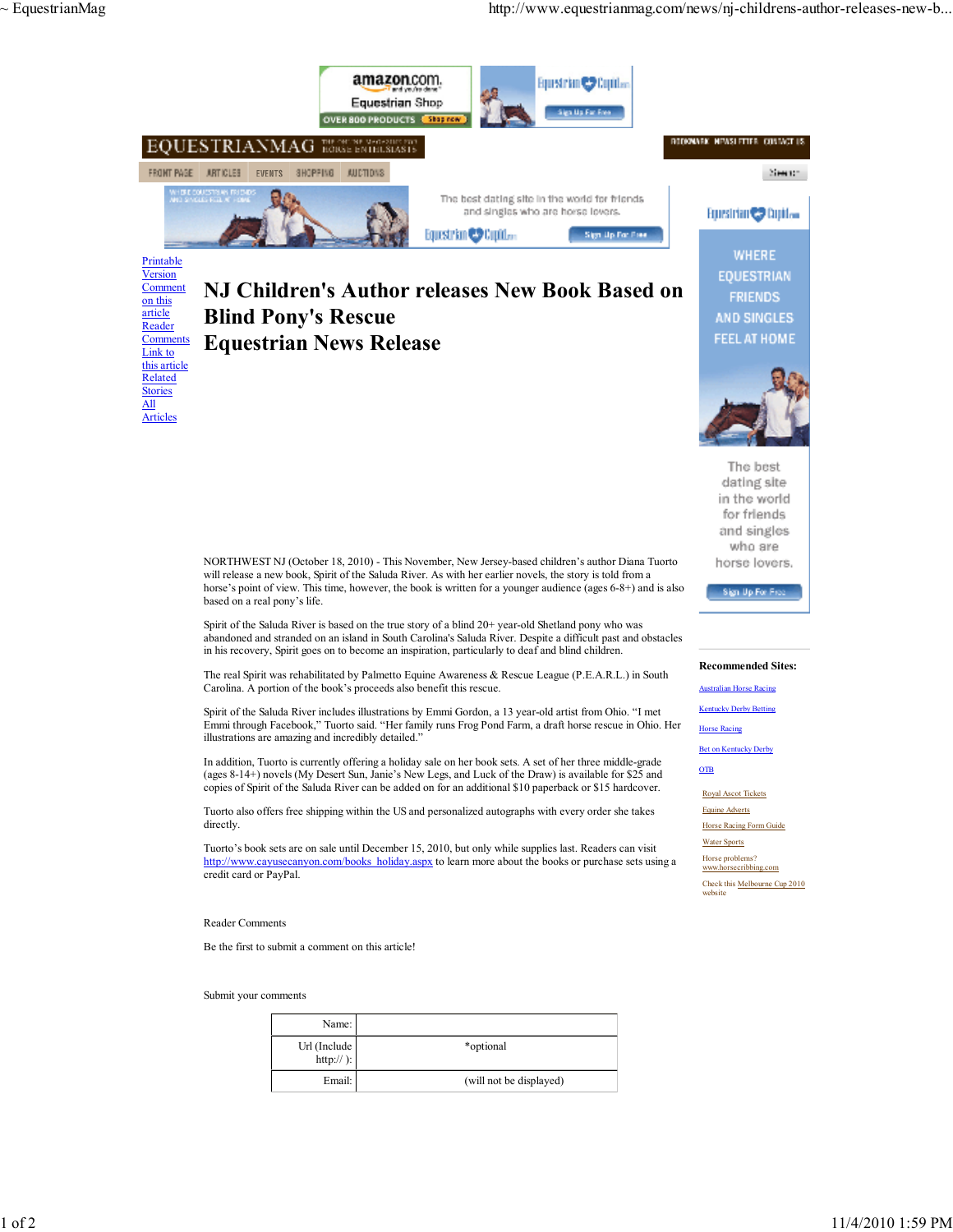